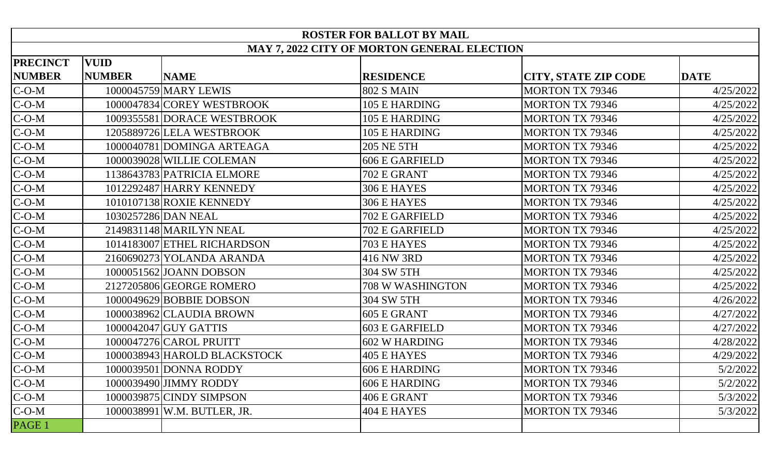| <b>ROSTER FOR BALLOT BY MAIL</b>                   |               |                              |                       |                             |             |  |  |  |  |
|----------------------------------------------------|---------------|------------------------------|-----------------------|-----------------------------|-------------|--|--|--|--|
| <b>MAY 7, 2022 CITY OF MORTON GENERAL ELECTION</b> |               |                              |                       |                             |             |  |  |  |  |
| <b>PRECINCT</b>                                    | <b>VUID</b>   |                              |                       |                             |             |  |  |  |  |
| <b>NUMBER</b>                                      | <b>NUMBER</b> | <b>NAME</b>                  | <b>RESIDENCE</b>      | <b>CITY, STATE ZIP CODE</b> | <b>DATE</b> |  |  |  |  |
| $C-O-M$                                            |               | 1000045759 MARY LEWIS        | <b>802 S MAIN</b>     | <b>MORTON TX 79346</b>      | 4/25/2022   |  |  |  |  |
| $C-O-M$                                            |               | 1000047834 COREY WESTBROOK   | 105 E HARDING         | <b>MORTON TX 79346</b>      | 4/25/2022   |  |  |  |  |
| $C-O-M$                                            |               | 1009355581 DORACE WESTBROOK  | 105 E HARDING         | <b>MORTON TX 79346</b>      | 4/25/2022   |  |  |  |  |
| $C-O-M$                                            |               | 1205889726 LELA WESTBROOK    | 105 E HARDING         | <b>MORTON TX 79346</b>      | 4/25/2022   |  |  |  |  |
| $C-O-M$                                            |               | 1000040781 DOMINGA ARTEAGA   | <b>205 NE 5TH</b>     | <b>MORTON TX 79346</b>      | 4/25/2022   |  |  |  |  |
| $C-O-M$                                            |               | 1000039028 WILLIE COLEMAN    | <b>606 E GARFIELD</b> | <b>MORTON TX 79346</b>      | 4/25/2022   |  |  |  |  |
| $C-O-M$                                            |               | 1138643783 PATRICIA ELMORE   | 702 E GRANT           | <b>MORTON TX 79346</b>      | 4/25/2022   |  |  |  |  |
| $C-O-M$                                            |               | 1012292487 HARRY KENNEDY     | 306 E HAYES           | <b>MORTON TX 79346</b>      | 4/25/2022   |  |  |  |  |
| $C-O-M$                                            |               | 1010107138 ROXIE KENNEDY     | 306 E HAYES           | <b>MORTON TX 79346</b>      | 4/25/2022   |  |  |  |  |
| $C-O-M$                                            |               | 1030257286 DAN NEAL          | 702 E GARFIELD        | <b>MORTON TX 79346</b>      | 4/25/2022   |  |  |  |  |
| $C-O-M$                                            |               | 2149831148 MARILYN NEAL      | 702 E GARFIELD        | <b>MORTON TX 79346</b>      | 4/25/2022   |  |  |  |  |
| $C-O-M$                                            |               | 1014183007 ETHEL RICHARDSON  | 703 E HAYES           | <b>MORTON TX 79346</b>      | 4/25/2022   |  |  |  |  |
| $C-O-M$                                            |               | 2160690273 YOLANDA ARANDA    | 416 NW 3RD            | <b>MORTON TX 79346</b>      | 4/25/2022   |  |  |  |  |
| $C-O-M$                                            |               | 1000051562 JOANN DOBSON      | 304 SW 5TH            | <b>MORTON TX 79346</b>      | 4/25/2022   |  |  |  |  |
| $C-O-M$                                            |               | 2127205806 GEORGE ROMERO     | 708 W WASHINGTON      | <b>MORTON TX 79346</b>      | 4/25/2022   |  |  |  |  |
| $C-O-M$                                            |               | 1000049629 BOBBIE DOBSON     | 304 SW 5TH            | <b>MORTON TX 79346</b>      | 4/26/2022   |  |  |  |  |
| $C-O-M$                                            |               | 1000038962 CLAUDIA BROWN     | 605 E GRANT           | <b>MORTON TX 79346</b>      | 4/27/2022   |  |  |  |  |
| $C-O-M$                                            |               | 1000042047 GUY GATTIS        | <b>603 E GARFIELD</b> | <b>MORTON TX 79346</b>      | 4/27/2022   |  |  |  |  |
| $C-O-M$                                            |               | 1000047276 CAROL PRUITT      | 602 W HARDING         | <b>MORTON TX 79346</b>      | 4/28/2022   |  |  |  |  |
| $C-O-M$                                            |               | 1000038943 HAROLD BLACKSTOCK | <b>405 E HAYES</b>    | <b>MORTON TX 79346</b>      | 4/29/2022   |  |  |  |  |
| $C-O-M$                                            |               | 1000039501 DONNA RODDY       | 606 E HARDING         | <b>MORTON TX 79346</b>      | 5/2/2022    |  |  |  |  |
| $C-O-M$                                            |               | 1000039490 JIMMY RODDY       | 606 E HARDING         | <b>MORTON TX 79346</b>      | 5/2/2022    |  |  |  |  |
| $C-O-M$                                            |               | 1000039875 CINDY SIMPSON     | 406 E GRANT           | <b>MORTON TX 79346</b>      | 5/3/2022    |  |  |  |  |
| $C-O-M$                                            |               | 1000038991 W.M. BUTLER, JR.  | 404 E HAYES           | <b>MORTON TX 79346</b>      | 5/3/2022    |  |  |  |  |
| PAGE 1                                             |               |                              |                       |                             |             |  |  |  |  |